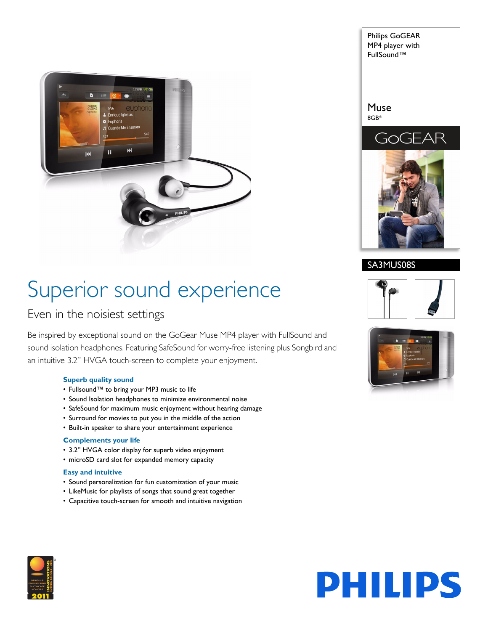

Philips GoGEAR MP4 player with FullSound™ Muse 8GB\*



SA3MUS08S

## Superior sound experience

### Even in the noisiest settings

Be inspired by exceptional sound on the GoGear Muse MP4 player with FullSound and sound isolation headphones. Featuring SafeSound for worry-free listening plus Songbird and an intuitive 3.2" HVGA touch-screen to complete your enjoyment.

#### **Superb quality sound**

- Fullsound™ to bring your MP3 music to life
- Sound Isolation headphones to minimize environmental noise
- SafeSound for maximum music enjoyment without hearing damage
- Surround for movies to put you in the middle of the action
- Built-in speaker to share your entertainment experience

#### **Complements your life**

- 3.2" HVGA color display for superb video enjoyment
- microSD card slot for expanded memory capacity

#### **Easy and intuitive**

- Sound personalization for fun customization of your music
- LikeMusic for playlists of songs that sound great together
- Capacitive touch-screen for smooth and intuitive navigation





# **PHILIPS**

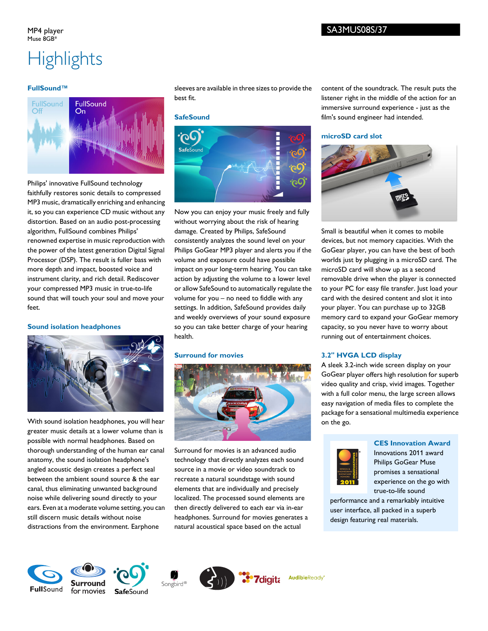#### MP4 player Muse 8GB\*

#### SA3MUS08S/37

### **Highlights**

#### **FullSound™**



Philips' innovative FullSound technology faithfully restores sonic details to compressed MP3 music, dramatically enriching and enhancing it, so you can experience CD music without any distortion. Based on an audio post-processing algorithm, FullSound combines Philips' renowned expertise in music reproduction with the power of the latest generation Digital Signal Processor (DSP). The result is fuller bass with more depth and impact, boosted voice and instrument clarity, and rich detail. Rediscover your compressed MP3 music in true-to-life sound that will touch your soul and move your feet.

#### **Sound isolation headphones**



With sound isolation headphones, you will hear greater music details at a lower volume than is possible with normal headphones. Based on thorough understanding of the human ear canal anatomy, the sound isolation headphone's angled acoustic design creates a perfect seal between the ambient sound source & the ear canal, thus eliminating unwanted background noise while delivering sound directly to your ears. Even at a moderate volume setting, you can still discern music details without noise distractions from the environment. Earphone

sleeves are available in three sizes to provide the best fit.

#### **SafeSound**



Now you can enjoy your music freely and fully without worrying about the risk of hearing damage. Created by Philips, SafeSound consistently analyzes the sound level on your Philips GoGear MP3 player and alerts you if the volume and exposure could have possible impact on your long-term hearing. You can take action by adjusting the volume to a lower level or allow SafeSound to automatically regulate the volume for you – no need to fiddle with any settings. In addition, SafeSound provides daily and weekly overviews of your sound exposure so you can take better charge of your hearing health.

#### **Surround for movies**



Surround for movies is an advanced audio technology that directly analyzes each sound source in a movie or video soundtrack to recreate a natural soundstage with sound elements that are individually and precisely localized. The processed sound elements are then directly delivered to each ear via in-ear headphones. Surround for movies generates a natural acoustical space based on the actual

content of the soundtrack. The result puts the listener right in the middle of the action for an immersive surround experience - just as the film's sound engineer had intended.

#### **microSD card slot**



Small is beautiful when it comes to mobile devices, but not memory capacities. With the GoGear player, you can have the best of both worlds just by plugging in a microSD card. The microSD card will show up as a second removable drive when the player is connected to your PC for easy file transfer. Just load your card with the desired content and slot it into your player. You can purchase up to 32GB memory card to expand your GoGear memory capacity, so you never have to worry about running out of entertainment choices.

#### **3.2" HVGA LCD display**

A sleek 3.2-inch wide screen display on your GoGear player offers high resolution for superb video quality and crisp, vivid images. Together with a full color menu, the large screen allows easy navigation of media files to complete the package for a sensational multimedia experience on the go.

#### **CES Innovation Award**



**AudibleReady** 

Innovations 2011 award Philips GoGear Muse promises a sensational experience on the go with true-to-life sound

performance and a remarkably intuitive user interface, all packed in a superb design featuring real materials.